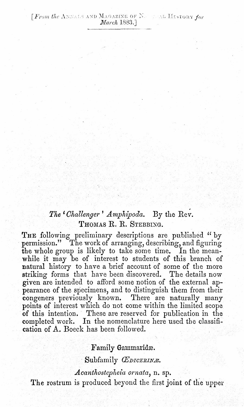# The 'Challenger' Amphipoda. By the Rev. THOMAS R. R. STEBBIXG.

THE following preliminary descriptions are published "by permission." The work of arranging, describing, and figuring the whole group is likely to take some time. In the meanwhile it may be of interest to students of this branch of natural history to have a brief account of some of the more striking forms that have been discovered. The details now given are intended to afford some notion of the external appearance of the specimens, and to distinguish them from their congeners previously known. There are naturally many points of interest which do not come within the limited scope of this intention. These are reserved for publication in the completed work. In the nomenclature here used the classification of A. Boeck has been followed.

### Family Gammaridæ.

Subfamily *ŒDICERINA*.

#### *Acanthostepheia ornata,* n. sp.

The rostrum is produced beyond the first joint of the upper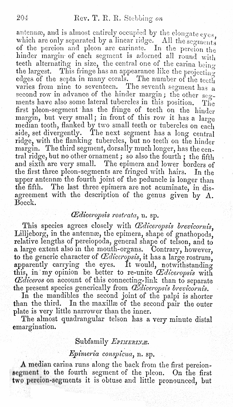antennæ, and is almost entirely occupied by the elongate  $e$ yes. which are only separated by a linear ridge. All the segments of the pereion and pleon are carinate. In the pereion the hinder margin- of each segment is adorned all round with teeth alternating in size, the central one of the carina being the largest. This fringe has an appearance like the projecting edges of the septa in many corals. The number of the teeth varies from nine to seventeen. The seventh segment has a second row in advance of the hinder margin; the other secments have also some lateral tubercles in this position. The first pleon-segment has the fringe of teeth on the hinder margin, but very small; in front of this row it has a large median tooth, flanked by two small teeth or tubercles on each side, set divergently. The next segment has a long central ridge, with the flanking tubercles, but no teeth on the hinder margin. The third segment, dorsally much longer, has the central ridge, but no other ornament; so also the fourth; the fifth and sixth are very small. The epimera and lower borders of the first three pleon-segments are fringed with hairs. In the upper antennæ the fourth joint of the peduncle is longer than the fifth. The last three epimera are not acuminate, in disagreement with the description of the genus given by A. Boeck.

#### *CEdiceropsis rostra ta,* n. sp.

This species agrees closely with *Œdiceropsis brevicornis*. Lilljeborg, in the antennæ, the epimera, shape of gnathopods, relative lengths of pereiopoda, general shape of telson, and to a large extent also in the mouth-organs. Contrary, however, to the generic character of *Œdiceropsis*, it has a large rostrum. apparently carrying the eyes. It would, notwithstanding this, in my opinion be better to re-unite  $\mathcal{C}$ diceropsis with *CEdiceros* on account of this connecting-link than to separate the present species generically from *CE diceropsis brevicornis*.

In the mandibles the second joint of the palpi is shorter than the third. In the maxille of the second pair the outer plate is very little narrower than the inner. .

The almost quadrangular telson has a very minute distal emargination.

## Subfamily *EPIMERINE*.

## *Epimeria consptcua,* n. sp.

 $\Lambda$  median carina runs along the back from the first pereionsegment to the fourth segment of the pleon. On the first two percion-segments it is obtuse and little pronounced, but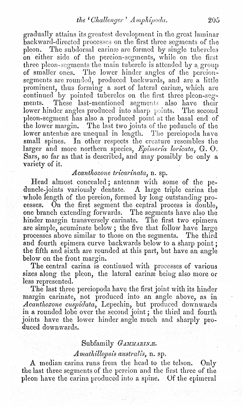gradually attains its grcatest developmcnt in thc great laminar backward-directed processes on the first three segments of the pleon. The subdorsal carina are formed by single tubercles on either side of the pereion-segments, while on the first three pleon-segments the main tubercle is attended by a group of smaller ones. The lower hinder angles of the percionsegments are rounded, produced backwards, and are a little prominent, thus forming a sort of lateral carinae, which are continued by pointed tubercles on the first three pleon-segments. These last-mentioned segments also have their lower hinder angles produced into sharp points. The second pleon-segment has also a produced point at the basal end of the lower margin. The last two joints of the peduncle of the lower antennæ are unequal in length. The pereiopoda have small spines. In other respects the creature resembles the larger and more northern species, *Epimeria loricata*, G. O. Sars, so far as that is described, and may possibly be only a variety of it.

# *Acantlwzone tricarinata,* n. sp.

Head almost concealed; antennæ with some of the peduncle-joints variously dentate. A large triple carina the whole length of the pereion, formed by long outstanding processes. On the first segment the ceptral process is double, one branch extending forwards. The segments have also the hinder margin transversely carinate. The first two epimera are simple, acuminate below; the five that follow have large processes above similar to those on the segments. The third and fourth epimera curve backwards below to a sharp point; the fifth and sixth are rounded at this part, but have an angle below on the front margin.

The central carina is continued with processes of various sizes along the pleon, the lateral carinae being also more or less represented.

The last three pereiopoda have the first joint with its hinder margin carinate, not produced into an angle above, as in *Acantlwzone cuspidata,* Lepechin, but produced downwards in a rounded lobe over the second joint; the third and fourth joints have the lower hinder angle much and sharply produced downwards.

### Subfamily *GAMMARINA*.

#### *Amathillopsis australis*, n. sp.

A median carina runs from the head to the telson. Only the last three segments of the pereion and the first three of the pleon have the carina produced into a spine. Of the epimeral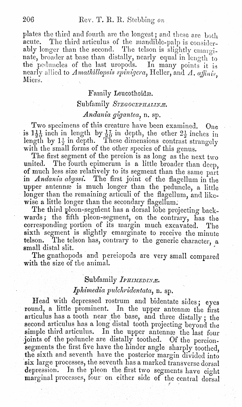plates the third and fourth are the longest; and these are both acute. The third articulus of the mandible-palp is considerably longer than the second. The telson is slightly emarginate, broader at base than distally, nearly equal in length to the peduncles of the last uropods. In many points it is nearly allied to Amathillopsis spinigera, Heller, and A. affinis. Miers.

#### Family Leucothoidæ.

## Subfamily STEGOCEPHALINE.

## Andania gigantea, n. sp.

Two specimens of this creature have been examined. One is  $1\frac{1}{20}$  inch in length by  $\frac{1}{20}$  in depth, the other  $2\frac{1}{2}$  inches in length by  $1\frac{1}{2}$  in depth. These dimensions contrast strangely with the small forms of the other species of this genus.

The first segment of the pereion is as long as the next two united. The fourth epimerum is a little broader than deep. of much less size relatively to its segment than the same part in Andania abyssi. The first joint of the flagellum in the upper antennæ is much longer than the peduncle, a little longer than the remaining articuli of the flagellum, and likewise a little longer than the secondary flagellum.

The third pleon-segment has a dorsal lobe projecting backwards; the fifth pleon-segment, on the contrary, has the corresponding portion of its margin much excavated. The sixth segment is slightly emarginate to receive the minute The telson has, contrary to the generic character, a telson. small distal slit.

The gnathopods and pereiopods are very small compared with the size of the animal.

#### Subfamily IPHIMEDINE.

#### Iphimedia pulchridentata, n. sp.

Head with depressed rostrum and bidentate sides; eyes round, a little prominent. In the upper antennæ the first articulus has a tooth near the base, and three distally; the second articulus has a long distal tooth projecting beyond the simple third articulus. In the upper antennæ the last four joints of the peduncle are distally toothed. Of the pereionsegments the first five have the hinder angle sharply toothed, the sixth and seventh have the posterior margin divided into six large processes, the seventh has a marked transverse dorsal depression. In the pleon the first two segments have eight marginal processes, four on either side of the central dorsal